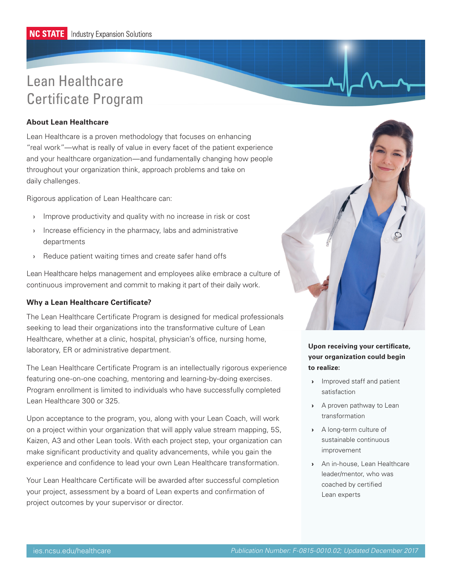# Lean Healthcare Certificate Program

## **About Lean Healthcare**

Lean Healthcare is a proven methodology that focuses on enhancing "real work"—what is really of value in every facet of the patient experience and your healthcare organization—and fundamentally changing how people throughout your organization think, approach problems and take on daily challenges.

Rigorous application of Lean Healthcare can:

- › Improve productivity and quality with no increase in risk or cost
- › Increase efficiency in the pharmacy, labs and administrative departments
- › Reduce patient waiting times and create safer hand offs

Lean Healthcare helps management and employees alike embrace a culture of continuous improvement and commit to making it part of their daily work.

## **Why a Lean Healthcare Certificate?**

The Lean Healthcare Certificate Program is designed for medical professionals seeking to lead their organizations into the transformative culture of Lean Healthcare, whether at a clinic, hospital, physician's office, nursing home, laboratory, ER or administrative department.

The Lean Healthcare Certificate Program is an intellectually rigorous experience featuring one-on-one coaching, mentoring and learning-by-doing exercises. Program enrollment is limited to individuals who have successfully completed Lean Healthcare 300 or 325.

Upon acceptance to the program, you, along with your Lean Coach, will work on a project within your organization that will apply value stream mapping, 5S, Kaizen, A3 and other Lean tools. With each project step, your organization can make significant productivity and quality advancements, while you gain the experience and confidence to lead your own Lean Healthcare transformation.

Your Lean Healthcare Certificate will be awarded after successful completion your project, assessment by a board of Lean experts and confirmation of project outcomes by your supervisor or director.



# **Upon receiving your certificate, your organization could begin to realize:**

- › Improved staff and patient satisfaction
- › A proven pathway to Lean transformation
- › A long-term culture of sustainable continuous improvement
- › An in-house, Lean Healthcare leader/mentor, who was coached by certified Lean experts